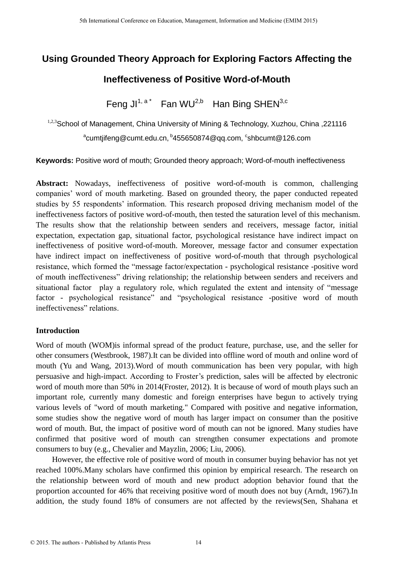# **Using Grounded Theory Approach for Exploring Factors Affecting the Ineffectiveness of Positive Word-of-Mouth**

Feng JI $1, a^*$  Fan WU<sup>2,b</sup> Han Bing SHEN<sup>3,c</sup>

<sup>1,2,3</sup>School of Management, China University of Mining & Technology, Xuzhou, China ,221116 <sup>a</sup>cumtjifeng@cumt.edu.cn, <sup>b</sup>455650874@qq.com, <sup>c</sup>shbcumt@126.com

**Keywords:** Positive word of mouth; Grounded theory approach; Word-of-mouth ineffectiveness

**Abstract:** Nowadays, ineffectiveness of positive word-of-mouth is common, challenging companies' word of mouth marketing. Based on grounded theory, the paper conducted repeated studies by 55 respondents' information. This research proposed driving mechanism model of the ineffectiveness factors of positive word-of-mouth, then tested the saturation level of this mechanism. The results show that the relationship between senders and receivers, message factor, initial expectation, expectation gap, situational factor, psychological resistance have indirect impact on ineffectiveness of positive word-of-mouth. Moreover, message factor and consumer expectation have indirect impact on ineffectiveness of positive word-of-mouth that through psychological resistance, which formed the "message factor/expectation - psychological resistance -positive word of mouth ineffectiveness" driving relationship; the relationship between senders and receivers and situational factor play a regulatory role, which regulated the extent and intensity of "message factor - psychological resistance" and "psychological resistance -positive word of mouth ineffectiveness" relations.

## **Introduction**

Word of mouth (WOM)is informal spread of the product feature, purchase, use, and the seller for other consumers (Westbrook, 1987).It can be divided into offline word of mouth and online word of mouth (Yu and Wang, 2013).Word of mouth communication has been very popular, with high persuasive and high-impact. According to Froster's prediction, sales will be affected by electronic word of mouth more than 50% in 2014(Froster, 2012). It is because of word of mouth plays such an important role, currently many domestic and foreign enterprises have begun to actively trying various levels of "word of mouth marketing." Compared with positive and negative information, some studies show the negative word of mouth has larger impact on consumer than the positive word of mouth. But, the impact of positive word of mouth can not be ignored. Many studies have confirmed that positive word of mouth can strengthen consumer expectations and promote consumers to buy (e.g., Chevalier and Mayzlin, 2006; Liu, 2006).

However, the effective role of positive word of mouth in consumer buying behavior has not yet reached 100%.Many scholars have confirmed this opinion by empirical research. The research on the relationship between word of mouth and new product adoption behavior found that the proportion accounted for 46% that receiving positive word of mouth does not buy (Arndt, 1967).In addition, the study found 18% of consumers are not affected by the reviews(Sen, Shahana et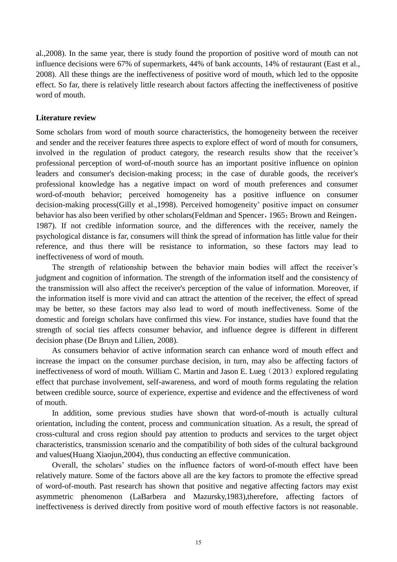al.,2008). In the same year, there is study found the proportion of positive word of mouth can not influence decisions were 67% of supermarkets, 44% of bank accounts, 14% of restaurant (East et al., 2008). All these things are the ineffectiveness of positive word of mouth, which led to the opposite effect. So far, there is relatively little research about factors affecting the ineffectiveness of positive word of mouth.

#### **Literature review**

Some scholars from word of mouth source characteristics, the homogeneity between the receiver and sender and the receiver features three aspects to explore effect of word of mouth for consumers, involved in the regulation of product category, the research results show that the receiver's professional perception of word-of-mouth source has an important positive influence on opinion leaders and consumer's decision-making process; in the case of durable goods, the receiver's professional knowledge has a negative impact on word of mouth preferences and consumer word-of-mouth behavior; perceived homogeneity has a positive influence on consumer decision-making process(Gilly et al.,1998). Perceived homogeneity' positive impact on consumer behavior has also been verified by other scholars(Feldman and Spencer, 1965; Brown and Reingen, 1987). If not credible information source, and the differences with the receiver, namely the psychological distance is far, consumers will think the spread of information has little value for their reference, and thus there will be resistance to information, so these factors may lead to ineffectiveness of word of mouth.

The strength of relationship between the behavior main bodies will affect the receiver's judgment and cognition of information. The strength of the information itself and the consistency of the transmission will also affect the receiver's perception of the value of information. Moreover, if the information itself is more vivid and can attract the attention of the receiver, the effect of spread may be better, so these factors may also lead to word of mouth ineffectiveness. Some of the domestic and foreign scholars have confirmed this view. For instance, studies have found that the strength of social ties affects consumer behavior, and influence degree is different in different decision phase (De Bruyn and Lilien, 2008).

As consumers behavior of active information search can enhance word of mouth effect and increase the impact on the consumer purchase decision, in turn, may also be affecting factors of ineffectiveness of word of mouth. William C. Martin and Jason E. Lueg  $(2013)$  explored regulating effect that purchase involvement, self-awareness, and word of mouth forms regulating the relation between credible source, source of experience, expertise and evidence and the effectiveness of word of mouth.

In addition, some previous studies have shown that word-of-mouth is actually cultural orientation, including the content, process and communication situation. As a result, the spread of cross-cultural and cross region should pay attention to products and services to the target object characteristics, transmission scenario and the compatibility of both sides of the cultural background and values(Huang Xiaojun,2004), thus conducting an effective communication.

Overall, the scholars' studies on the influence factors of word-of-mouth effect have been relatively mature. Some of the factors above all are the key factors to promote the effective spread of word-of-mouth. Past research has shown that positive and negative affecting factors may exist asymmetric phenomenon (LaBarbera and Mazursky,1983),therefore, affecting factors of ineffectiveness is derived directly from positive word of mouth effective factors is not reasonable.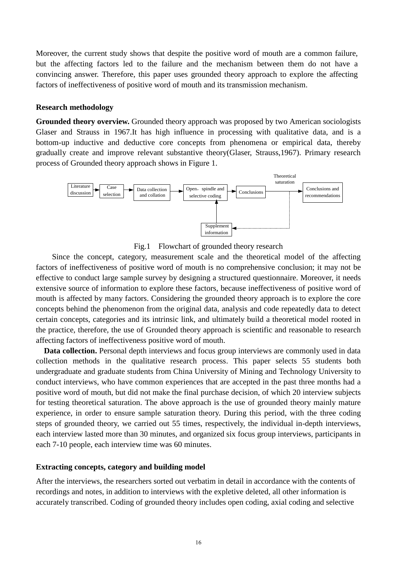Moreover, the current study shows that despite the positive word of mouth are a common failure, but the affecting factors led to the failure and the mechanism between them do not have a convincing answer. Therefore, this paper uses grounded theory approach to explore the affecting factors of ineffectiveness of positive word of mouth and its transmission mechanism.

#### **Research methodology**

**Grounded theory overview.** Grounded theory approach was proposed by two American sociologists Glaser and Strauss in 1967.It has high influence in processing with qualitative data, and is a bottom-up inductive and deductive core concepts from phenomena or empirical data, thereby gradually create and improve relevant substantive theory(Glaser, Strauss,1967). Primary research process of Grounded theory approach shows in Figure 1.



Fig.1 Flowchart of grounded theory research

Since the concept, category, measurement scale and the theoretical model of the affecting factors of ineffectiveness of positive word of mouth is no comprehensive conclusion; it may not be effective to conduct large sample survey by designing a structured questionnaire. Moreover, it needs extensive source of information to explore these factors, because ineffectiveness of positive word of mouth is affected by many factors. Considering the grounded theory approach is to explore the core concepts behind the phenomenon from the original data, analysis and code repeatedly data to detect certain concepts, categories and its intrinsic link, and ultimately build a theoretical model rooted in the practice, therefore, the use of Grounded theory approach is scientific and reasonable to research affecting factors of ineffectiveness positive word of mouth.

Data collection. Personal depth interviews and focus group interviews are commonly used in data collection methods in the qualitative research process. This paper selects 55 students both undergraduate and graduate students from China University of Mining and Technology University to conduct interviews, who have common experiences that are accepted in the past three months had a positive word of mouth, but did not make the final purchase decision, of which 20 interview subjects for testing theoretical saturation. The above approach is the use of grounded theory mainly mature experience, in order to ensure sample saturation theory. During this period, with the three coding steps of grounded theory, we carried out 55 times, respectively, the individual in-depth interviews, each interview lasted more than 30 minutes, and organized six focus group interviews, participants in each 7-10 people, each interview time was 60 minutes.

#### **Extracting concepts, category and building model**

After the interviews, the researchers sorted out verbatim in detail in accordance with the contents of recordings and notes, in addition to interviews with the expletive deleted, all other information is accurately transcribed. Coding of grounded theory includes open coding, axial coding and selective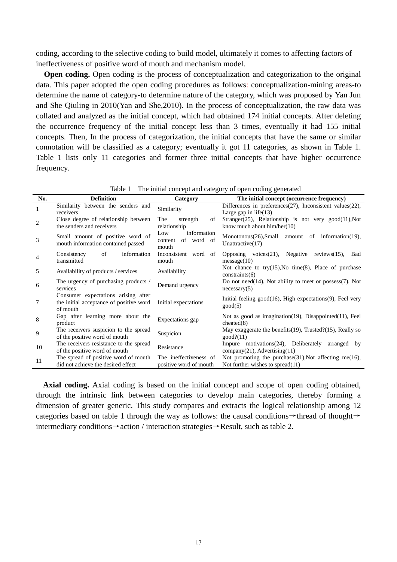coding, according to the selective coding to build model, ultimately it comes to affecting factors of ineffectiveness of positive word of mouth and mechanism model.

**Open coding.** Open coding is the process of conceptualization and categorization to the original data. This paper adopted the open coding procedures as follows: conceptualization-mining areas-to determine the name of category-to determine nature of the category, which was proposed by Yan Jun and She Qiuling in 2010(Yan and She,2010). In the process of conceptualization, the raw data was collated and analyzed as the initial concept, which had obtained 174 initial concepts. After deleting the occurrence frequency of the initial concept less than 3 times, eventually it had 155 initial concepts. Then, In the process of categorization, the initial concepts that have the same or similar connotation will be classified as a category; eventually it got 11 categories, as shown in Table 1. Table 1 lists only 11 categories and former three initial concepts that have higher occurrence frequency.

| No.            | <b>Definition</b>                                                                          | Category                                             | The initial concept (occurrence frequency)                                                           |
|----------------|--------------------------------------------------------------------------------------------|------------------------------------------------------|------------------------------------------------------------------------------------------------------|
|                | Similarity between the senders and<br>receivers                                            | Similarity                                           | Differences in preferences $(27)$ , Inconsistent values $(22)$ ,<br>Large gap in $life(13)$          |
| $\overline{c}$ | Close degree of relationship between<br>the senders and receivers                          | strength<br>The<br>of<br>relationship                | Stranger(25), Relationship is not very $good(11)$ , Not<br>know much about $\text{him/her}(10)$      |
| 3              | Small amount of positive word of<br>mouth information contained passed                     | information<br>Low<br>of word of<br>content<br>mouth | Monotonous $(26)$ , Small amount of information $(19)$ ,<br>Unattractive(17)                         |
| 4              | Consistency<br>of<br>information<br>transmitted                                            | Inconsistent word of<br>mouth                        | Opposing voices $(21)$ , Negative<br>reviews $(15)$ ,<br><b>Bad</b><br>message(10)                   |
| 5              | Availability of products / services                                                        | Availability                                         | Not chance to try(15), No time(8), Place of purchase<br>constraints(6)                               |
| 6              | The urgency of purchasing products /<br>services                                           | Demand urgency                                       | Do not need $(14)$ , Not ability to meet or possess $(7)$ , Not<br>necessary(5)                      |
| 7              | Consumer expectations arising after<br>the initial acceptance of positive word<br>of mouth | Initial expectations                                 | Initial feeling $good(16)$ , High expectations $(9)$ , Feel very<br>good(5)                          |
| 8              | Gap after learning more about the<br>product                                               | Expectations gap                                     | Not as good as imagination $(19)$ , Disappointed $(11)$ , Feel<br>cheated(8)                         |
| 9              | The receivers suspicion to the spread<br>of the positive word of mouth                     | Suspicion                                            | May exaggerate the benefits $(19)$ , Trusted? $(15)$ , Really so<br>good?(11)                        |
| 10             | The receivers resistance to the spread<br>of the positive word of mouth                    | Resistance                                           | Impure motivations $(24)$ , Deliberately<br>arranged by<br>$company(21)$ , Advertising(11)           |
| 11             | The spread of positive word of mouth<br>did not achieve the desired effect                 | The ineffectiveness of<br>positive word of mouth     | Not promoting the purchase $(31)$ , Not affecting me $(16)$ ,<br>Not further wishes to spread $(11)$ |

Table 1 The initial concept and category of open coding generated

**Axial coding.** Axial coding is based on the initial concept and scope of open coding obtained, through the intrinsic link between categories to develop main categories, thereby forming a dimension of greater generic. This study compares and extracts the logical relationship among 12 categories based on table 1 through the way as follows: the causal conditions→thread of thought→ intermediary conditions→action / interaction strategies→Result, such as table 2.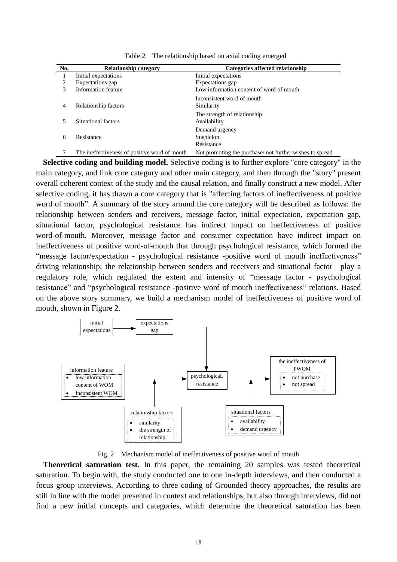| No. | <b>Relationship category</b>                  | Categories affected relationship                         |
|-----|-----------------------------------------------|----------------------------------------------------------|
|     | Initial expectations                          | Initial expectations                                     |
| 2   | Expectations gap                              | Expectations gap                                         |
| 3   | Information feature                           | Low information content of word of mouth                 |
| 4   | Relationship factors                          | Inconsistent word of mouth<br>Similarity                 |
| 5   | Situational factors                           | The strength of relationship<br>Availability             |
| 6   | Resistance                                    | Demand urgency<br>Suspicion<br>Resistance                |
|     | The ineffectiveness of positive word of mouth | Not promoting the purchase/ not further wishes to spread |

Table 2 The relationship based on axial coding emerged

**Selective coding and building model.** Selective coding is to further explore "core category" in the main category, and link core category and other main category, and then through the "story" present overall coherent context of the study and the causal relation, and finally construct a new model. After selective coding, it has drawn a core category that is "affecting factors of ineffectiveness of positive word of mouth". A summary of the story around the core category will be described as follows: the relationship between senders and receivers, message factor, initial expectation, expectation gap, situational factor, psychological resistance has indirect impact on ineffectiveness of positive word-of-mouth. Moreover, message factor and consumer expectation have indirect impact on ineffectiveness of positive word-of-mouth that through psychological resistance, which formed the "message factor/expectation - psychological resistance -positive word of mouth ineffectiveness" driving relationship; the relationship between senders and receivers and situational factor play a regulatory role, which regulated the extent and intensity of "message factor - psychological resistance" and "psychological resistance -positive word of mouth ineffectiveness" relations. Based on the above story summary, we build a mechanism model of ineffectiveness of positive word of mouth, shown in Figure 2.



Fig. 2 Mechanism model of ineffectiveness of positive word of mouth

**Theoretical saturation test.** In this paper, the remaining 20 samples was tested theoretical saturation. To begin with, the study conducted one to one in-depth interviews, and then conducted a focus group interviews. According to three coding of Grounded theory approaches, the results are still in line with the model presented in context and relationships, but also through interviews, did not find a new initial concepts and categories, which determine the theoretical saturation has been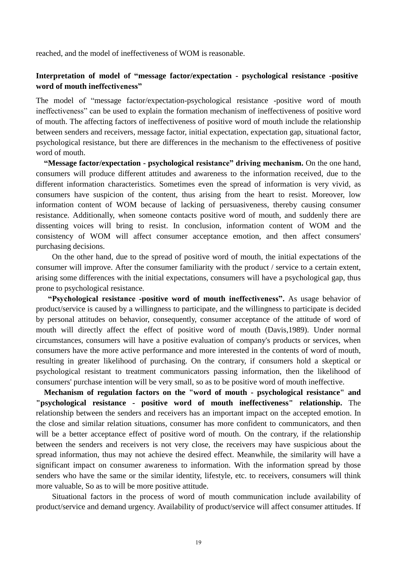reached, and the model of ineffectiveness of WOM is reasonable.

## **Interpretation of model of "message factor/expectation - psychological resistance -positive word of mouth ineffectiveness"**

The model of "message factor/expectation-psychological resistance -positive word of mouth ineffectiveness" can be used to explain the formation mechanism of ineffectiveness of positive word of mouth. The affecting factors of ineffectiveness of positive word of mouth include the relationship between senders and receivers, message factor, initial expectation, expectation gap, situational factor, psychological resistance, but there are differences in the mechanism to the effectiveness of positive word of mouth.

**"Message factor/expectation - psychological resistance" driving mechanism.** On the one hand, consumers will produce different attitudes and awareness to the information received, due to the different information characteristics. Sometimes even the spread of information is very vivid, as consumers have suspicion of the content, thus arising from the heart to resist. Moreover, low information content of WOM because of lacking of persuasiveness, thereby causing consumer resistance. Additionally, when someone contacts positive word of mouth, and suddenly there are dissenting voices will bring to resist. In conclusion, information content of WOM and the consistency of WOM will affect consumer acceptance emotion, and then affect consumers' purchasing decisions.

On the other hand, due to the spread of positive word of mouth, the initial expectations of the consumer will improve. After the consumer familiarity with the product / service to a certain extent, arising some differences with the initial expectations, consumers will have a psychological gap, thus prone to psychological resistance.

**"Psychological resistance -positive word of mouth ineffectiveness".** As usage behavior of product/service is caused by a willingness to participate, and the willingness to participate is decided by personal attitudes on behavior, consequently, consumer acceptance of the attitude of word of mouth will directly affect the effect of positive word of mouth (Davis,1989). Under normal circumstances, consumers will have a positive evaluation of company's products or services, when consumers have the more active performance and more interested in the contents of word of mouth, resulting in greater likelihood of purchasing. On the contrary, if consumers hold a skeptical or psychological resistant to treatment communicators passing information, then the likelihood of consumers' purchase intention will be very small, so as to be positive word of mouth ineffective.

**Mechanism of regulation factors on the "word of mouth - psychological resistance" and "psychological resistance - positive word of mouth ineffectiveness" relationship.** The relationship between the senders and receivers has an important impact on the accepted emotion. In the close and similar relation situations, consumer has more confident to communicators, and then will be a better acceptance effect of positive word of mouth. On the contrary, if the relationship between the senders and receivers is not very close, the receivers may have suspicious about the spread information, thus may not achieve the desired effect. Meanwhile, the similarity will have a significant impact on consumer awareness to information. With the information spread by those senders who have the same or the similar identity, lifestyle, etc. to receivers, consumers will think more valuable, So as to will be more positive attitude.

Situational factors in the process of word of mouth communication include availability of product/service and demand urgency. Availability of product/service will affect consumer attitudes. If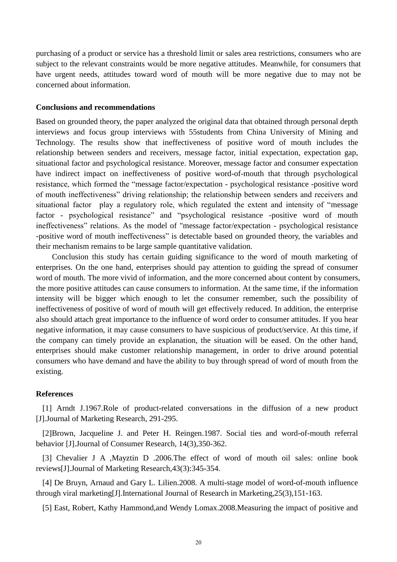purchasing of a product or service has a threshold limit or sales area restrictions, consumers who are subject to the relevant constraints would be more negative attitudes. Meanwhile, for consumers that have urgent needs, attitudes toward word of mouth will be more negative due to may not be concerned about information.

### **Conclusions and recommendations**

Based on grounded theory, the paper analyzed the original data that obtained through personal depth interviews and focus group interviews with 55students from China University of Mining and Technology. The results show that ineffectiveness of positive word of mouth includes the relationship between senders and receivers, message factor, initial expectation, expectation gap, situational factor and psychological resistance. Moreover, message factor and consumer expectation have indirect impact on ineffectiveness of positive word-of-mouth that through psychological resistance, which formed the "message factor/expectation - psychological resistance -positive word of mouth ineffectiveness" driving relationship; the relationship between senders and receivers and situational factor play a regulatory role, which regulated the extent and intensity of "message factor - psychological resistance" and "psychological resistance -positive word of mouth ineffectiveness" relations. As the model of "message factor/expectation - psychological resistance -positive word of mouth ineffectiveness" is detectable based on grounded theory, the variables and their mechanism remains to be large sample quantitative validation.

Conclusion this study has certain guiding significance to the word of mouth marketing of enterprises. On the one hand, enterprises should pay attention to guiding the spread of consumer word of mouth. The more vivid of information, and the more concerned about content by consumers, the more positive attitudes can cause consumers to information. At the same time, if the information intensity will be bigger which enough to let the consumer remember, such the possibility of ineffectiveness of positive of word of mouth will get effectively reduced. In addition, the enterprise also should attach great importance to the influence of word order to consumer attitudes. If you hear negative information, it may cause consumers to have suspicious of product/service. At this time, if the company can timely provide an explanation, the situation will be eased. On the other hand, enterprises should make customer relationship management, in order to drive around potential consumers who have demand and have the ability to buy through spread of word of mouth from the existing.

#### **References**

[1] Arndt J.1967.Role of product-related conversations in the diffusion of a new product [J].Journal of Marketing Research, 291-295.

[2]Brown, Jacqueline J. and Peter H. Reingen.1987. Social ties and word-of-mouth referral behavior [J].Journal of Consumer Research, 14(3),350-362.

[3] Chevalier J A ,Mayztin D .2006.The effect of word of mouth oil sales: online book reviews[J].Journal of Marketing Research,43(3):345-354.

[4] De Bruyn, Arnaud and Gary L. Lilien.2008. A multi-stage model of word-of-mouth influence through viral marketing[J].International Journal of Research in Marketing,25(3),151-163.

[5] East, Robert, Kathy Hammond,and Wendy Lomax.2008.Measuring the impact of positive and